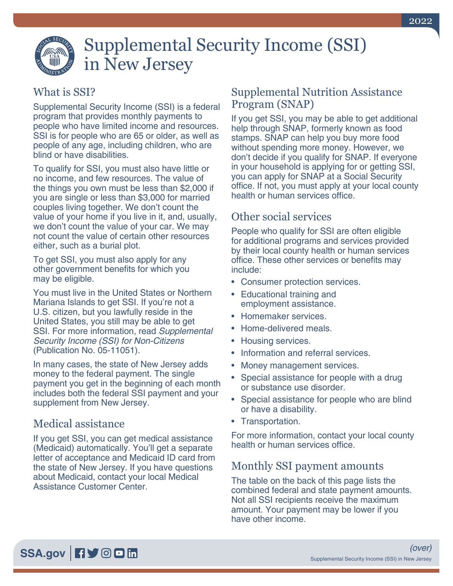

# Supplemental Security Income (SSI) in New Jersey

### What is SSI?

Supplemental Security Income (SSI) is a federal program that provides monthly payments to people who have limited income and resources. SSI is for people who are 65 or older, as well as people of any age, including children, who are blind or have disabilities.

To qualify for SSI, you must also have little or no income, and few resources. The value of the things you own must be less than \$2,000 if you are single or less than \$3,000 for married couples living together. We don't count the value of your home if you live in it, and, usually, we don't count the value of your car. We may not count the value of certain other resources either, such as a burial plot.

To get SSI, you must also apply for any other government benefits for which you may be eligible.

You must live in the United States or Northern Mariana Islands to get SSI. If you're not a U.S. citizen, but you lawfully reside in the United States, you still may be able to get SSI. For more information, read *[Supplemental](https://www.ssa.gov/pubs/EN-05-11051.pdf)  [Security Income \(SSI\) for Non-Citizens](https://www.ssa.gov/pubs/EN-05-11051.pdf)* [\(Publication No. 05-11051\)](https://www.ssa.gov/pubs/EN-05-11051.pdf).

In many cases, the state of New Jersey adds money to the federal payment. The single payment you get in the beginning of each month includes both the federal SSI payment and your supplement from New Jersey.

## Medical assistance

If you get SSI, you can get medical assistance (Medicaid) automatically. You'll get a separate letter of acceptance and Medicaid ID card from the state of New Jersey. If you have questions about Medicaid, contact your local Medical Assistance Customer Center.

#### Supplemental Nutrition Assistance Program (SNAP)

If you get SSI, you may be able to get additional help through SNAP, formerly known as food stamps. SNAP can help you buy more food without spending more money. However, we don't decide if you qualify for SNAP. If everyone in your household is applying for or getting SSI, you can apply for SNAP at a Social Security office. If not, you must apply at your local county health or human services office.

## Other social services

People who qualify for SSI are often eligible for additional programs and services provided by their local county health or human services office. These other services or benefits may include:

- Consumer protection services.
- Educational training and employment assistance.
- Homemaker services.
- Home-delivered meals.
- Housing services.
- Information and referral services.
- Money management services.
- Special assistance for people with a drug or substance use disorder.
- Special assistance for people who are blind or have a disability.
- Transportation.

For more information, contact your local county health or human services office.

#### Monthly SSI payment amounts

The table on the back of this page lists the combined federal and state payment amounts. Not all SSI recipients receive the maximum amount. Your payment may be lower if you have other income.